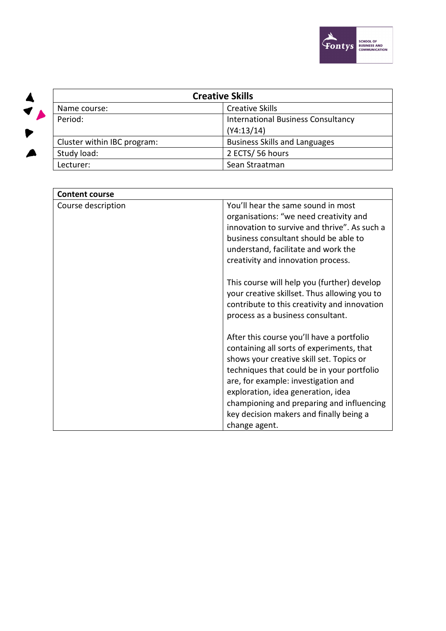



| <b>Creative Skills</b>      |                                           |  |
|-----------------------------|-------------------------------------------|--|
| Name course:                | <b>Creative Skills</b>                    |  |
| Period:                     | <b>International Business Consultancy</b> |  |
|                             | (Y4:13/14)                                |  |
| Cluster within IBC program: | <b>Business Skills and Languages</b>      |  |
| Study load:                 | 2 ECTS/56 hours                           |  |
| Lecturer:                   | Sean Straatman                            |  |

| <b>Content course</b> |                                                                                              |  |
|-----------------------|----------------------------------------------------------------------------------------------|--|
| Course description    | You'll hear the same sound in most                                                           |  |
|                       | organisations: "we need creativity and                                                       |  |
|                       | innovation to survive and thrive". As such a                                                 |  |
|                       | business consultant should be able to                                                        |  |
|                       | understand, facilitate and work the                                                          |  |
|                       | creativity and innovation process.                                                           |  |
|                       | This course will help you (further) develop                                                  |  |
|                       | your creative skillset. Thus allowing you to<br>contribute to this creativity and innovation |  |
|                       | process as a business consultant.                                                            |  |
|                       |                                                                                              |  |
|                       | After this course you'll have a portfolio                                                    |  |
|                       | containing all sorts of experiments, that                                                    |  |
|                       | shows your creative skill set. Topics or                                                     |  |
|                       | techniques that could be in your portfolio                                                   |  |
|                       | are, for example: investigation and<br>exploration, idea generation, idea                    |  |
|                       | championing and preparing and influencing                                                    |  |
|                       | key decision makers and finally being a                                                      |  |
|                       | change agent.                                                                                |  |
|                       |                                                                                              |  |